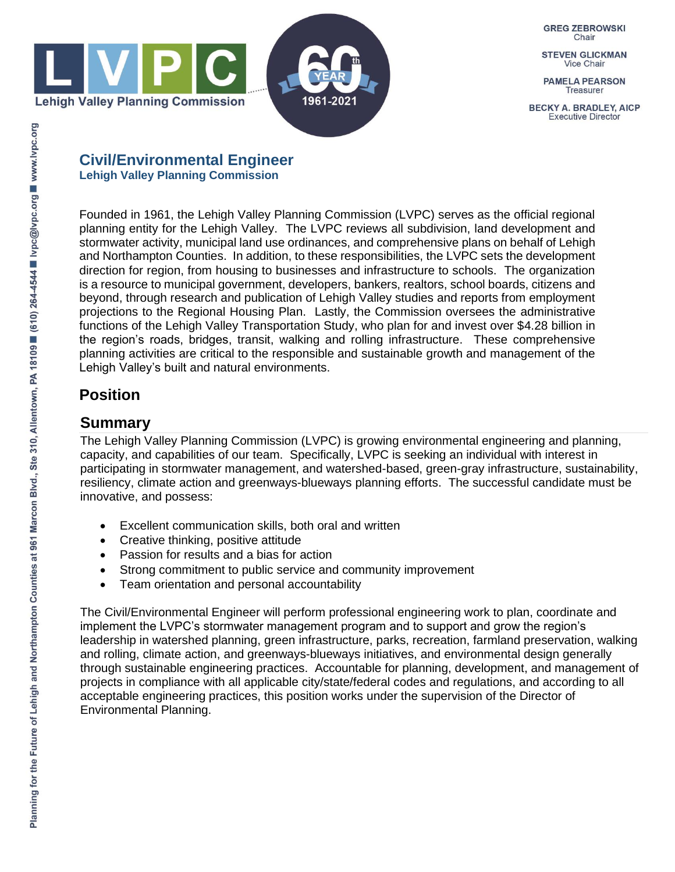

**GREG ZEBROWSKI** Chair

**STEVEN GLICKMAN Vice Chair** 

**PAMELA PEARSON Treasurer** 

**BECKY A. BRADLEY, AICP Executive Director** 

#### **Civil/Environmental Engineer Lehigh Valley Planning Commission**

Founded in 1961, the Lehigh Valley Planning Commission (LVPC) serves as the official regional planning entity for the Lehigh Valley. The LVPC reviews all subdivision, land development and stormwater activity, municipal land use ordinances, and comprehensive plans on behalf of Lehigh and Northampton Counties. In addition, to these responsibilities, the LVPC sets the development direction for region, from housing to businesses and infrastructure to schools. The organization is a resource to municipal government, developers, bankers, realtors, school boards, citizens and beyond, through research and publication of Lehigh Valley studies and reports from employment projections to the Regional Housing Plan. Lastly, the Commission oversees the administrative functions of the Lehigh Valley Transportation Study, who plan for and invest over \$4.28 billion in the region's roads, bridges, transit, walking and rolling infrastructure. These comprehensive planning activities are critical to the responsible and sustainable growth and management of the Lehigh Valley's built and natural environments.

## **Position**

### **Summary**

The Lehigh Valley Planning Commission (LVPC) is growing environmental engineering and planning, capacity, and capabilities of our team. Specifically, LVPC is seeking an individual with interest in participating in stormwater management, and watershed-based, green-gray infrastructure, sustainability, resiliency, climate action and greenways-blueways planning efforts. The successful candidate must be innovative, and possess:

- Excellent communication skills, both oral and written
- Creative thinking, positive attitude
- Passion for results and a bias for action
- Strong commitment to public service and community improvement
- Team orientation and personal accountability

The Civil/Environmental Engineer will perform professional engineering work to plan, coordinate and implement the LVPC's stormwater management program and to support and grow the region's leadership in watershed planning, green infrastructure, parks, recreation, farmland preservation, walking and rolling, climate action, and greenways-blueways initiatives, and environmental design generally through sustainable engineering practices. Accountable for planning, development, and management of projects in compliance with all applicable city/state/federal codes and regulations, and according to all acceptable engineering practices, this position works under the supervision of the Director of Environmental Planning.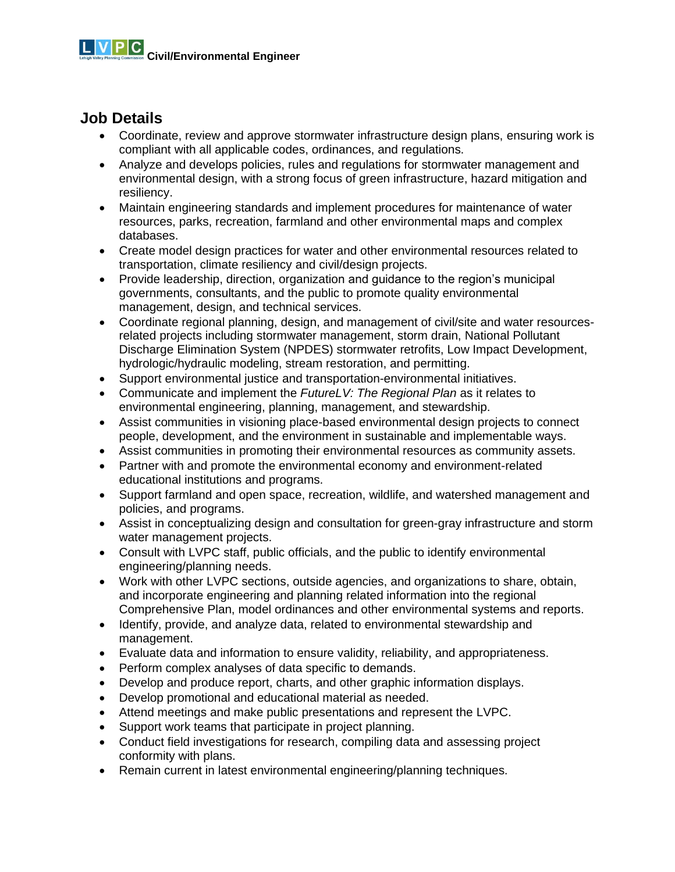### **Job Details**

- Coordinate, review and approve stormwater infrastructure design plans, ensuring work is compliant with all applicable codes, ordinances, and regulations.
- Analyze and develops policies, rules and regulations for stormwater management and environmental design, with a strong focus of green infrastructure, hazard mitigation and resiliency.
- Maintain engineering standards and implement procedures for maintenance of water resources, parks, recreation, farmland and other environmental maps and complex databases.
- Create model design practices for water and other environmental resources related to transportation, climate resiliency and civil/design projects.
- Provide leadership, direction, organization and guidance to the region's municipal governments, consultants, and the public to promote quality environmental management, design, and technical services.
- Coordinate regional planning, design, and management of civil/site and water resourcesrelated projects including stormwater management, storm drain, National Pollutant Discharge Elimination System (NPDES) stormwater retrofits, Low Impact Development, hydrologic/hydraulic modeling, stream restoration, and permitting.
- Support environmental justice and transportation-environmental initiatives.
- Communicate and implement the *FutureLV: The Regional Plan* as it relates to environmental engineering, planning, management, and stewardship.
- Assist communities in visioning place-based environmental design projects to connect people, development, and the environment in sustainable and implementable ways.
- Assist communities in promoting their environmental resources as community assets.
- Partner with and promote the environmental economy and environment-related educational institutions and programs.
- Support farmland and open space, recreation, wildlife, and watershed management and policies, and programs.
- Assist in conceptualizing design and consultation for green-gray infrastructure and storm water management projects.
- Consult with LVPC staff, public officials, and the public to identify environmental engineering/planning needs.
- Work with other LVPC sections, outside agencies, and organizations to share, obtain, and incorporate engineering and planning related information into the regional Comprehensive Plan, model ordinances and other environmental systems and reports.
- Identify, provide, and analyze data, related to environmental stewardship and management.
- Evaluate data and information to ensure validity, reliability, and appropriateness.
- Perform complex analyses of data specific to demands.
- Develop and produce report, charts, and other graphic information displays.
- Develop promotional and educational material as needed.
- Attend meetings and make public presentations and represent the LVPC.
- Support work teams that participate in project planning.
- Conduct field investigations for research, compiling data and assessing project conformity with plans.
- Remain current in latest environmental engineering/planning techniques.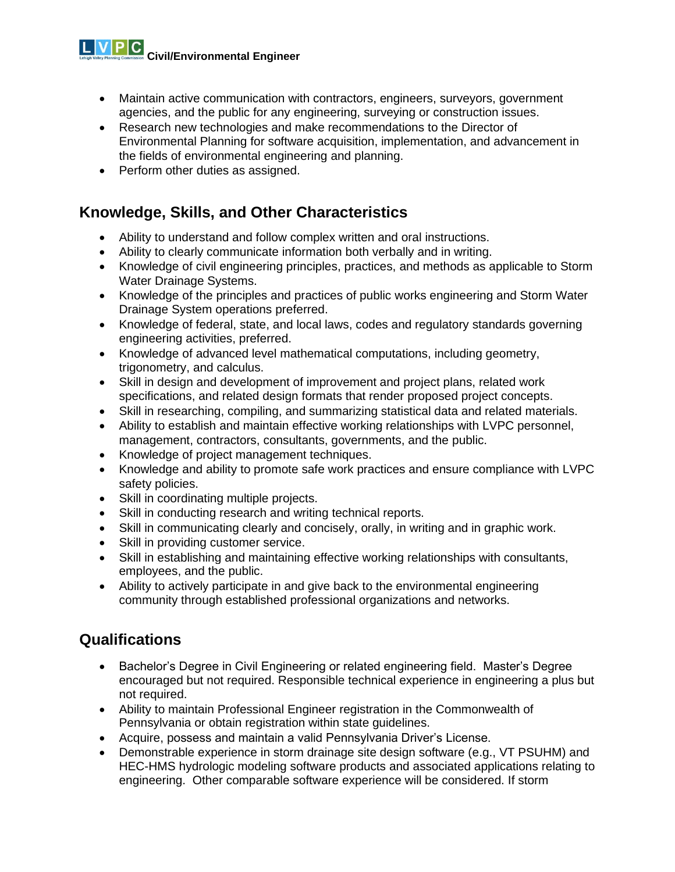**Civil/Environmental Engineer**

- Maintain active communication with contractors, engineers, surveyors, government agencies, and the public for any engineering, surveying or construction issues.
- Research new technologies and make recommendations to the Director of Environmental Planning for software acquisition, implementation, and advancement in the fields of environmental engineering and planning.
- Perform other duties as assigned.

#### **Knowledge, Skills, and Other Characteristics**

- Ability to understand and follow complex written and oral instructions.
- Ability to clearly communicate information both verbally and in writing.
- Knowledge of civil engineering principles, practices, and methods as applicable to Storm Water Drainage Systems.
- Knowledge of the principles and practices of public works engineering and Storm Water Drainage System operations preferred.
- Knowledge of federal, state, and local laws, codes and regulatory standards governing engineering activities, preferred.
- Knowledge of advanced level mathematical computations, including geometry, trigonometry, and calculus.
- Skill in design and development of improvement and project plans, related work specifications, and related design formats that render proposed project concepts.
- Skill in researching, compiling, and summarizing statistical data and related materials.
- Ability to establish and maintain effective working relationships with LVPC personnel, management, contractors, consultants, governments, and the public.
- Knowledge of project management techniques.
- Knowledge and ability to promote safe work practices and ensure compliance with LVPC safety policies.
- Skill in coordinating multiple projects.
- Skill in conducting research and writing technical reports.
- Skill in communicating clearly and concisely, orally, in writing and in graphic work.
- Skill in providing customer service.
- Skill in establishing and maintaining effective working relationships with consultants, employees, and the public.
- Ability to actively participate in and give back to the environmental engineering community through established professional organizations and networks.

### **Qualifications**

- Bachelor's Degree in Civil Engineering or related engineering field. Master's Degree encouraged but not required. Responsible technical experience in engineering a plus but not required.
- Ability to maintain Professional Engineer registration in the Commonwealth of Pennsylvania or obtain registration within state guidelines.
- Acquire, possess and maintain a valid Pennsylvania Driver's License.
- Demonstrable experience in storm drainage site design software (e.g., VT PSUHM) and HEC-HMS hydrologic modeling software products and associated applications relating to engineering. Other comparable software experience will be considered. If storm